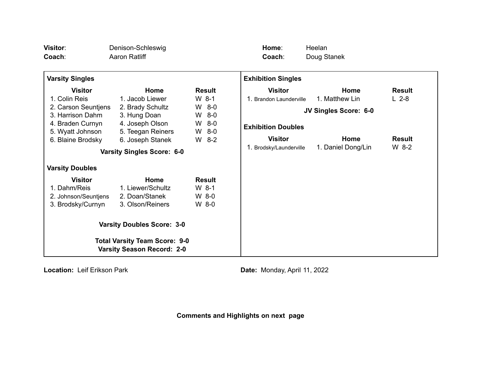| Visitor:<br>Coach:                                                                                                                      | Denison-Schleswig<br><b>Aaron Ratliff</b>                                                                               |                                                                                | Home:<br>Coach:                                                                          | Heelan<br>Doug Stanek                                                 |                                           |
|-----------------------------------------------------------------------------------------------------------------------------------------|-------------------------------------------------------------------------------------------------------------------------|--------------------------------------------------------------------------------|------------------------------------------------------------------------------------------|-----------------------------------------------------------------------|-------------------------------------------|
| <b>Varsity Singles</b>                                                                                                                  |                                                                                                                         |                                                                                | <b>Exhibition Singles</b>                                                                |                                                                       |                                           |
| <b>Visitor</b><br>1. Colin Reis<br>2. Carson Seuntjens<br>3. Harrison Dahm<br>4. Braden Curnyn<br>5. Wyatt Johnson<br>6. Blaine Brodsky | Home<br>1. Jacob Liewer<br>2. Brady Schultz<br>3. Hung Doan<br>4. Joseph Olson<br>5. Teegan Reiners<br>6. Joseph Stanek | <b>Result</b><br>$W_8$ -1<br>W 8-0<br>$W$ 8-0<br>$W$ 8-0<br>$W$ 8-0<br>$W$ 8-2 | <b>Visitor</b><br>1. Brandon Launderville<br><b>Exhibition Doubles</b><br><b>Visitor</b> | <b>Home</b><br>1. Matthew Lin<br><b>JV Singles Score: 6-0</b><br>Home | <b>Result</b><br>$L$ 2-8<br><b>Result</b> |
| <b>Varsity Doubles</b><br><b>Visitor</b>                                                                                                | <b>Varsity Singles Score: 6-0</b><br>Home                                                                               | <b>Result</b>                                                                  | 1. Brodsky/Launderville                                                                  | 1. Daniel Dong/Lin                                                    | $W$ 8-2                                   |
| 1. Dahm/Reis<br>2. Johnson/Seuntjens<br>3. Brodsky/Curnyn                                                                               | 1. Liewer/Schultz<br>2. Doan/Stanek<br>3. Olson/Reiners                                                                 | $W_8$ -1<br>W 8-0<br>W 8-0                                                     |                                                                                          |                                                                       |                                           |
| <b>Varsity Doubles Score: 3-0</b><br><b>Total Varsity Team Score: 9-0</b><br><b>Varsity Season Record: 2-0</b>                          |                                                                                                                         |                                                                                |                                                                                          |                                                                       |                                           |

**Location:** Leif Erikson Park **Date: Date:** Monday, April 11, 2022

**Comments and Highlights on next page**